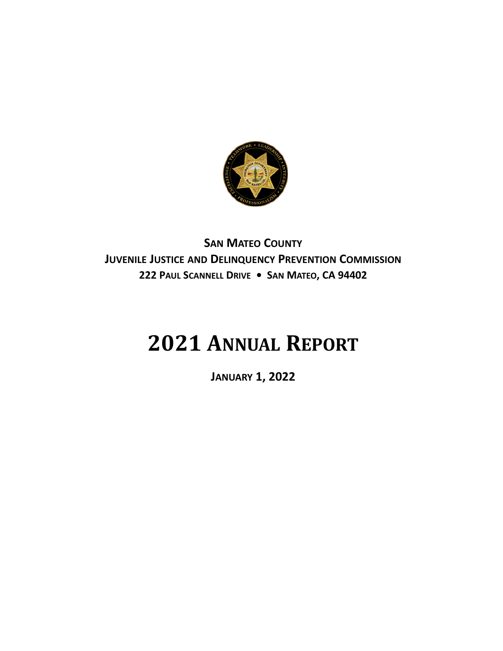

**SAN MATEO COUNTY JUVENILE JUSTICE AND DELINQUENCY PREVENTION COMMISSION 222 PAUL SCANNELL DRIVE • SAN MATEO, CA 94402**

# **2021 ANNUAL REPORT**

**JANUARY 1, 2022**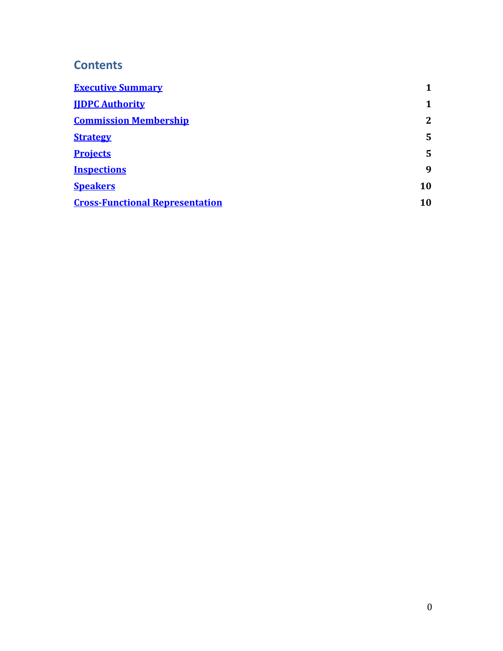# **Contents**

| <b>Executive Summary</b>               | 1            |
|----------------------------------------|--------------|
| <b>IIDPC Authority</b>                 | 1            |
| <b>Commission Membership</b>           | $\mathbf{2}$ |
| <b>Strategy</b>                        | 5            |
| <b>Projects</b>                        | 5            |
| <b>Inspections</b>                     | 9            |
| <b>Speakers</b>                        | 10           |
| <b>Cross-Functional Representation</b> | 10           |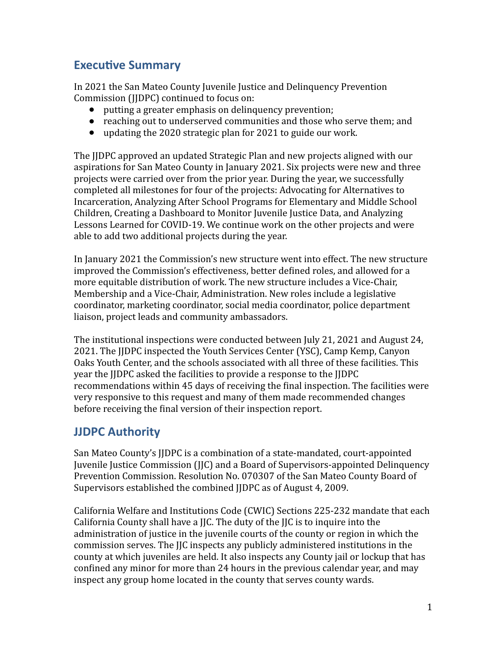## **Executive Summary**

In 2021 the San Mateo County Iuvenile Iustice and Delinquency Prevention Commission (JJDPC) continued to focus on:

- putting a greater emphasis on delinquency prevention;
- reaching out to underserved communities and those who serve them; and
- updating the 2020 strategic plan for 2021 to guide our work.

The IJDPC approved an updated Strategic Plan and new projects aligned with our aspirations for San Mateo County in January 2021. Six projects were new and three projects were carried over from the prior year. During the year, we successfully completed all milestones for four of the projects: Advocating for Alternatives to Incarceration, Analyzing After School Programs for Elementary and Middle School Children, Creating a Dashboard to Monitor Juvenile Justice Data, and Analyzing Lessons Learned for COVID-19. We continue work on the other projects and were able to add two additional projects during the year.

In January 2021 the Commission's new structure went into effect. The new structure improved the Commission's effectiveness, better defined roles, and allowed for a more equitable distribution of work. The new structure includes a Vice-Chair, Membership and a Vice-Chair, Administration. New roles include a legislative coordinator, marketing coordinator, social media coordinator, police department liaison, project leads and community ambassadors.

The institutional inspections were conducted between July 21, 2021 and August 24, 2021. The IJDPC inspected the Youth Services Center (YSC), Camp Kemp, Canyon Oaks Youth Center, and the schools associated with all three of these facilities. This year the IIDPC asked the facilities to provide a response to the IIDPC recommendations within 45 days of receiving the final inspection. The facilities were very responsive to this request and many of them made recommended changes before receiving the final version of their inspection report.

# **JJDPC Authority**

San Mateo County's IIDPC is a combination of a state-mandated, court-appointed Juvenile Justice Commission (JJC) and a Board of Supervisors-appointed Delinquency Prevention Commission. Resolution No. 070307 of the San Mateo County Board of Supervisors established the combined JJDPC as of August 4, 2009.

California Welfare and Institutions Code (CWIC) Sections 225-232 mandate that each California County shall have a IIC. The duty of the IIC is to inquire into the administration of justice in the juvenile courts of the county or region in which the commission serves. The JIC inspects any publicly administered institutions in the county at which juveniles are held. It also inspects any County jail or lockup that has confined any minor for more than 24 hours in the previous calendar year, and may inspect any group home located in the county that serves county wards.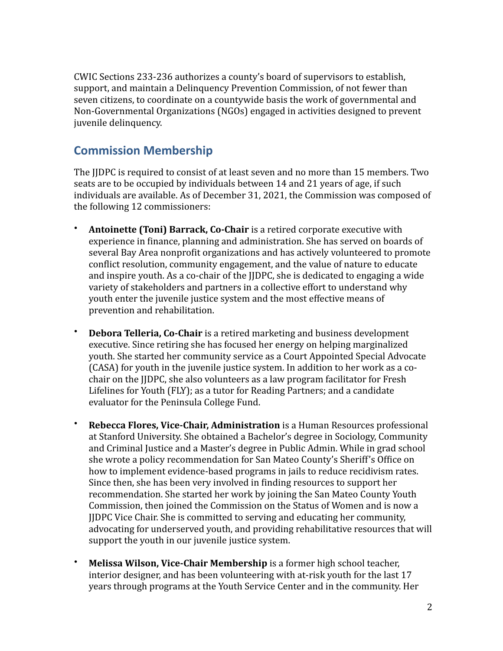CWIC Sections 233-236 authorizes a county's board of supervisors to establish, support, and maintain a Delinquency Prevention Commission, of not fewer than seven citizens, to coordinate on a countywide basis the work of governmental and Non-Governmental Organizations (NGOs) engaged in activities designed to prevent juvenile delinquency.

# **Commission Membership**

The IIDPC is required to consist of at least seven and no more than 15 members. Two seats are to be occupied by individuals between 14 and 21 years of age, if such individuals are available. As of December 31, 2021, the Commission was composed of the following 12 commissioners:

- **Antoinette (Toni) Barrack, Co-Chair** is a retired corporate executive with experience in finance, planning and administration. She has served on boards of several Bay Area nonprofit organizations and has actively volunteered to promote conflict resolution, community engagement, and the value of nature to educate and inspire youth. As a co-chair of the JJDPC, she is dedicated to engaging a wide variety of stakeholders and partners in a collective effort to understand why youth enter the juvenile justice system and the most effective means of prevention and rehabilitation.
- **Debora Telleria, Co-Chair** is a retired marketing and business development executive. Since retiring she has focused her energy on helping marginalized youth. She started her community service as a Court Appointed Special Advocate (CASA) for youth in the juvenile justice system. In addition to her work as a cochair on the IIDPC, she also volunteers as a law program facilitator for Fresh Lifelines for Youth (FLY); as a tutor for Reading Partners; and a candidate evaluator for the Peninsula College Fund.
- **Rebecca Flores, Vice-Chair, Administration** is a Human Resources professional at Stanford University. She obtained a Bachelor's degree in Sociology, Community and Criminal Justice and a Master's degree in Public Admin. While in grad school she wrote a policy recommendation for San Mateo County's Sheriff's Office on how to implement evidence-based programs in jails to reduce recidivism rates. Since then, she has been very involved in finding resources to support her recommendation. She started her work by joining the San Mateo County Youth Commission, then joined the Commission on the Status of Women and is now a JJDPC Vice Chair. She is committed to serving and educating her community, advocating for underserved youth, and providing rehabilitative resources that will support the youth in our juvenile justice system.
- Melissa Wilson, Vice-Chair Membership is a former high school teacher, interior designer, and has been volunteering with at-risk youth for the last 17 years through programs at the Youth Service Center and in the community. Her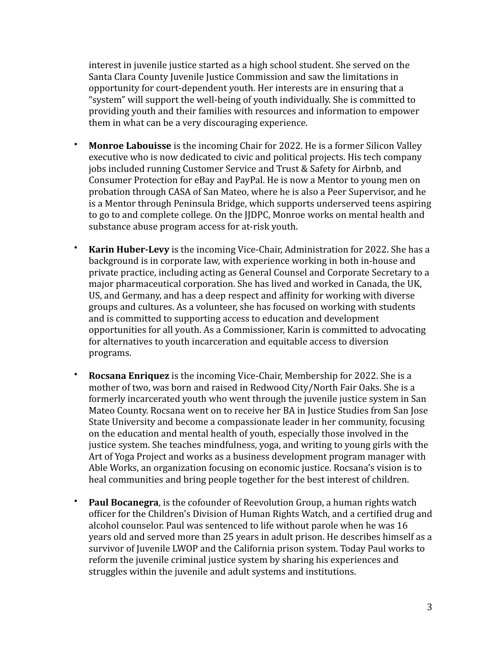interest in juvenile justice started as a high school student. She served on the Santa Clara County Juvenile Justice Commission and saw the limitations in opportunity for court-dependent youth. Her interests are in ensuring that a "system" will support the well-being of youth individually. She is committed to providing youth and their families with resources and information to empower them in what can be a very discouraging experience.

- Monroe Labouisse is the incoming Chair for 2022. He is a former Silicon Valley executive who is now dedicated to civic and political projects. His tech company jobs included running Customer Service and Trust & Safety for Airbnb, and Consumer Protection for eBay and PayPal. He is now a Mentor to young men on probation through CASA of San Mateo, where he is also a Peer Supervisor, and he is a Mentor through Peninsula Bridge, which supports underserved teens aspiring to go to and complete college. On the IIDPC, Monroe works on mental health and substance abuse program access for at-risk youth.
- **Karin Huber-Levy** is the incoming Vice-Chair, Administration for 2022. She has a background is in corporate law, with experience working in both in-house and private practice, including acting as General Counsel and Corporate Secretary to a major pharmaceutical corporation. She has lived and worked in Canada, the UK, US, and Germany, and has a deep respect and affinity for working with diverse groups and cultures. As a volunteer, she has focused on working with students and is committed to supporting access to education and development opportunities for all youth. As a Commissioner, Karin is committed to advocating for alternatives to youth incarceration and equitable access to diversion programs.
- **Rocsana Enriquez** is the incoming Vice-Chair, Membership for 2022. She is a mother of two, was born and raised in Redwood City/North Fair Oaks. She is a formerly incarcerated youth who went through the juvenile justice system in San Mateo County. Rocsana went on to receive her BA in Justice Studies from San Jose State University and become a compassionate leader in her community, focusing on the education and mental health of youth, especially those involved in the justice system. She teaches mindfulness, yoga, and writing to young girls with the Art of Yoga Project and works as a business development program manager with Able Works, an organization focusing on economic justice. Rocsana's vision is to heal communities and bring people together for the best interest of children.
- **Paul Bocanegra**, is the cofounder of Reevolution Group, a human rights watch officer for the Children's Division of Human Rights Watch, and a certified drug and alcohol counselor. Paul was sentenced to life without parole when he was 16 years old and served more than 25 years in adult prison. He describes himself as a survivor of Juvenile LWOP and the California prison system. Today Paul works to reform the juvenile criminal justice system by sharing his experiences and struggles within the juvenile and adult systems and institutions.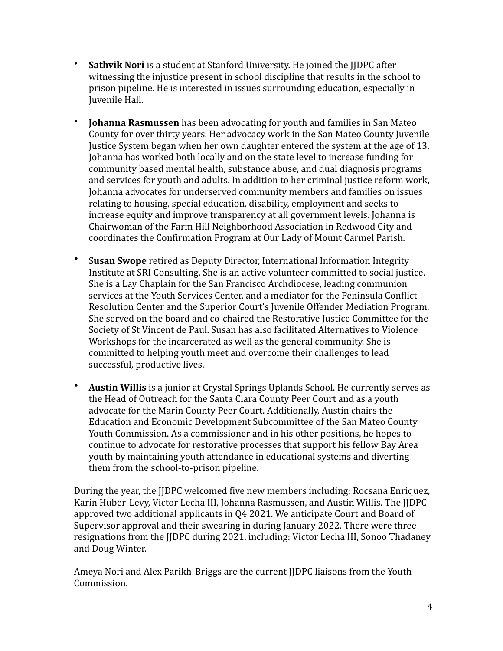- **Sathvik Nori** is a student at Stanford University. He joined the IJDPC after witnessing the injustice present in school discipline that results in the school to prison pipeline. He is interested in issues surrounding education, especially in Juvenile Hall.
- **Johanna Rasmussen** has been advocating for youth and families in San Mateo County for over thirty years. Her advocacy work in the San Mateo County Juvenile Justice System began when her own daughter entered the system at the age of 13. Johanna has worked both locally and on the state level to increase funding for community based mental health, substance abuse, and dual diagnosis programs and services for youth and adults. In addition to her criminal justice reform work, Johanna advocates for underserved community members and families on issues relating to housing, special education, disability, employment and seeks to increase equity and improve transparency at all government levels. Johanna is Chairwoman of the Farm Hill Neighborhood Association in Redwood City and coordinates the Confirmation Program at Our Lady of Mount Carmel Parish.
- **Susan Swope** retired as Deputy Director, International Information Integrity Institute at SRI Consulting. She is an active volunteer committed to social justice. She is a Lay Chaplain for the San Francisco Archdiocese, leading communion services at the Youth Services Center, and a mediator for the Peninsula Conflict Resolution Center and the Superior Court's Juvenile Offender Mediation Program. She served on the board and co-chaired the Restorative Justice Committee for the Society of St Vincent de Paul. Susan has also facilitated Alternatives to Violence Workshops for the incarcerated as well as the general community. She is committed to helping youth meet and overcome their challenges to lead successful, productive lives.
- **Austin Willis** is a junior at Crystal Springs Uplands School. He currently serves as the Head of Outreach for the Santa Clara County Peer Court and as a youth advocate for the Marin County Peer Court. Additionally, Austin chairs the Education and Economic Development Subcommittee of the San Mateo County Youth Commission. As a commissioner and in his other positions, he hopes to continue to advocate for restorative processes that support his fellow Bay Area youth by maintaining youth attendance in educational systems and diverting them from the school-to-prison pipeline.

During the year, the IIDPC welcomed five new members including: Rocsana Enriquez, Karin Huber-Levy, Victor Lecha III, Johanna Rasmussen, and Austin Willis. The IIDPC approved two additional applicants in  $Q4$  2021. We anticipate Court and Board of Supervisor approval and their swearing in during January 2022. There were three resignations from the JJDPC during 2021, including: Victor Lecha III, Sonoo Thadaney and Doug Winter.

Ameya Nori and Alex Parikh-Briggs are the current IIDPC liaisons from the Youth Commission.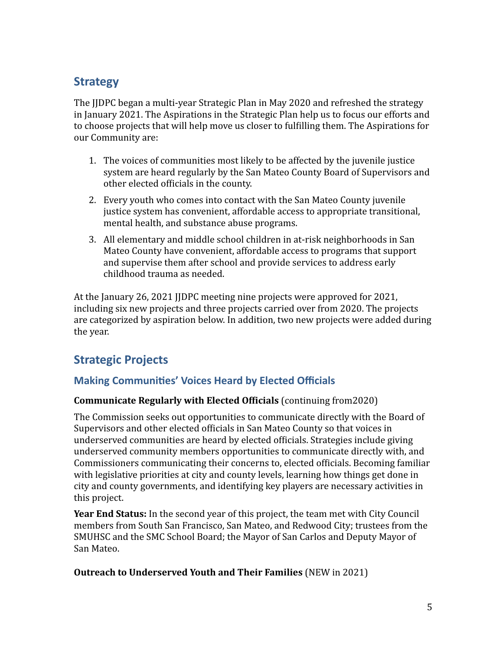# **Strategy**

The IJDPC began a multi-year Strategic Plan in May 2020 and refreshed the strategy in January 2021. The Aspirations in the Strategic Plan help us to focus our efforts and to choose projects that will help move us closer to fulfilling them. The Aspirations for our Community are:

- 1. The voices of communities most likely to be affected by the juvenile justice system are heard regularly by the San Mateo County Board of Supervisors and other elected officials in the county.
- 2. Every youth who comes into contact with the San Mateo County juvenile justice system has convenient, affordable access to appropriate transitional, mental health, and substance abuse programs.
- 3. All elementary and middle school children in at-risk neighborhoods in San Mateo County have convenient, affordable access to programs that support and supervise them after school and provide services to address early childhood trauma as needed.

At the January 26, 2021 JJDPC meeting nine projects were approved for 2021, including six new projects and three projects carried over from 2020. The projects are categorized by aspiration below. In addition, two new projects were added during the year.

# **Strategic Projects**

## **Making Communities' Voices Heard by Elected Officials**

## **Communicate Regularly with Elected Officials (continuing from2020)**

The Commission seeks out opportunities to communicate directly with the Board of Supervisors and other elected officials in San Mateo County so that voices in underserved communities are heard by elected officials. Strategies include giving underserved community members opportunities to communicate directly with, and Commissioners communicating their concerns to, elected officials. Becoming familiar with legislative priorities at city and county levels, learning how things get done in city and county governments, and identifying key players are necessary activities in this project.

**Year End Status:** In the second year of this project, the team met with City Council members from South San Francisco, San Mateo, and Redwood City; trustees from the SMUHSC and the SMC School Board; the Mayor of San Carlos and Deputy Mayor of San Mateo.

**Outreach to Underserved Youth and Their Families (NEW in 2021)**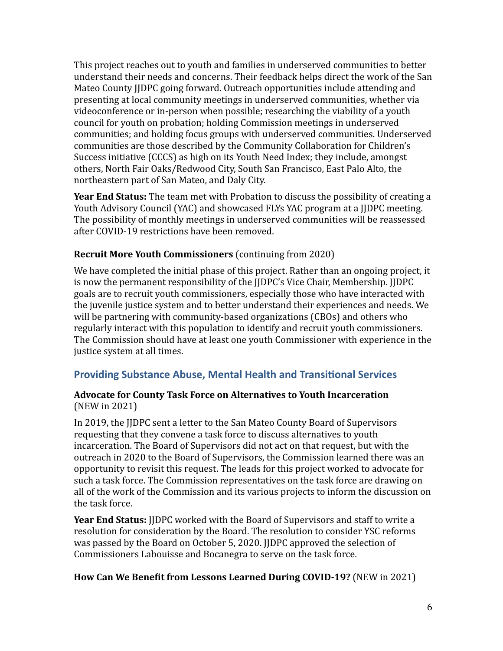This project reaches out to youth and families in underserved communities to better understand their needs and concerns. Their feedback helps direct the work of the San Mateo County IIDPC going forward. Outreach opportunities include attending and presenting at local community meetings in underserved communities, whether via videoconference or in-person when possible; researching the viability of a youth council for youth on probation; holding Commission meetings in underserved communities; and holding focus groups with underserved communities. Underserved communities are those described by the Community Collaboration for Children's Success initiative (CCCS) as high on its Youth Need Index; they include, amongst others, North Fair Oaks/Redwood City, South San Francisco, East Palo Alto, the northeastern part of San Mateo, and Daly City.

**Year End Status:** The team met with Probation to discuss the possibility of creating a Youth Advisory Council (YAC) and showcased FLYs YAC program at a JJDPC meeting. The possibility of monthly meetings in underserved communities will be reassessed after COVID-19 restrictions have been removed.

## **Recruit More Youth Commissioners** (continuing from 2020)

We have completed the initial phase of this project. Rather than an ongoing project, it is now the permanent responsibility of the IJDPC's Vice Chair, Membership. IJDPC goals are to recruit youth commissioners, especially those who have interacted with the juvenile justice system and to better understand their experiences and needs. We will be partnering with community-based organizations (CBOs) and others who regularly interact with this population to identify and recruit youth commissioners. The Commission should have at least one youth Commissioner with experience in the justice system at all times.

## **Providing Substance Abuse, Mental Health and Transitional Services**

## **Advocate for County Task Force on Alternatives to Youth Incarceration** (NEW in 2021)

In 2019, the IIDPC sent a letter to the San Mateo County Board of Supervisors requesting that they convene a task force to discuss alternatives to youth incarceration. The Board of Supervisors did not act on that request, but with the outreach in 2020 to the Board of Supervisors, the Commission learned there was an opportunity to revisit this request. The leads for this project worked to advocate for such a task force. The Commission representatives on the task force are drawing on all of the work of the Commission and its various projects to inform the discussion on the task force.

**Year End Status:** JJDPC worked with the Board of Supervisors and staff to write a resolution for consideration by the Board. The resolution to consider YSC reforms was passed by the Board on October 5, 2020. JJDPC approved the selection of Commissioners Labouisse and Bocanegra to serve on the task force.

#### **How Can We Benefit from Lessons Learned During COVID-19?** (NEW in 2021)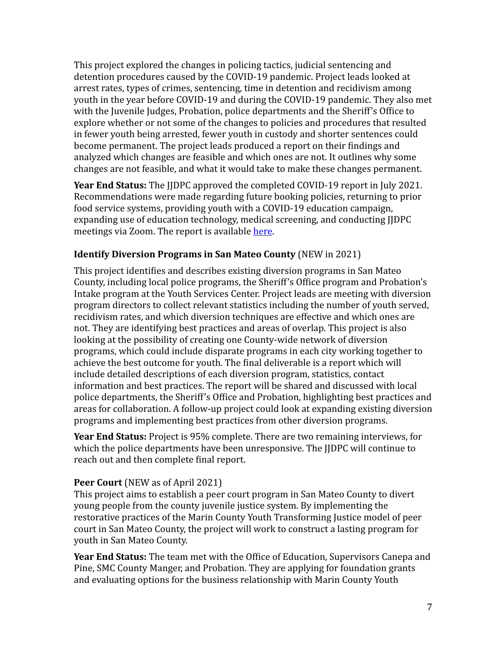This project explored the changes in policing tactics, judicial sentencing and detention procedures caused by the COVID-19 pandemic. Project leads looked at arrest rates, types of crimes, sentencing, time in detention and recidivism among youth in the year before COVID-19 and during the COVID-19 pandemic. They also met with the Juvenile Judges, Probation, police departments and the Sheriff's Office to explore whether or not some of the changes to policies and procedures that resulted in fewer youth being arrested, fewer youth in custody and shorter sentences could become permanent. The project leads produced a report on their findings and analyzed which changes are feasible and which ones are not. It outlines why some changes are not feasible, and what it would take to make these changes permanent.

**Year End Status:** The IIDPC approved the completed COVID-19 report in July 2021. Recommendations were made regarding future booking policies, returning to prior food service systems, providing youth with a COVID-19 education campaign. expanding use of education technology, medical screening, and conducting IJDPC meetings via Zoom. The report is available here.

## **Identify Diversion Programs in San Mateo County (NEW in 2021)**

This project identifies and describes existing diversion programs in San Mateo County, including local police programs, the Sheriff's Office program and Probation's Intake program at the Youth Services Center. Project leads are meeting with diversion program directors to collect relevant statistics including the number of youth served, recidivism rates, and which diversion techniques are effective and which ones are not. They are identifying best practices and areas of overlap. This project is also looking at the possibility of creating one County-wide network of diversion programs, which could include disparate programs in each city working together to achieve the best outcome for youth. The final deliverable is a report which will include detailed descriptions of each diversion program, statistics, contact information and best practices. The report will be shared and discussed with local police departments, the Sheriff's Office and Probation, highlighting best practices and areas for collaboration. A follow-up project could look at expanding existing diversion programs and implementing best practices from other diversion programs.

**Year End Status:** Project is 95% complete. There are two remaining interviews, for which the police departments have been unresponsive. The IIDPC will continue to reach out and then complete final report.

#### **Peer Court** (NEW as of April 2021)

This project aims to establish a peer court program in San Mateo County to divert young people from the county juvenile justice system. By implementing the restorative practices of the Marin County Youth Transforming Justice model of peer court in San Mateo County, the project will work to construct a lasting program for youth in San Mateo County.

**Year End Status:** The team met with the Office of Education, Supervisors Canepa and Pine, SMC County Manger, and Probation. They are applying for foundation grants and evaluating options for the business relationship with Marin County Youth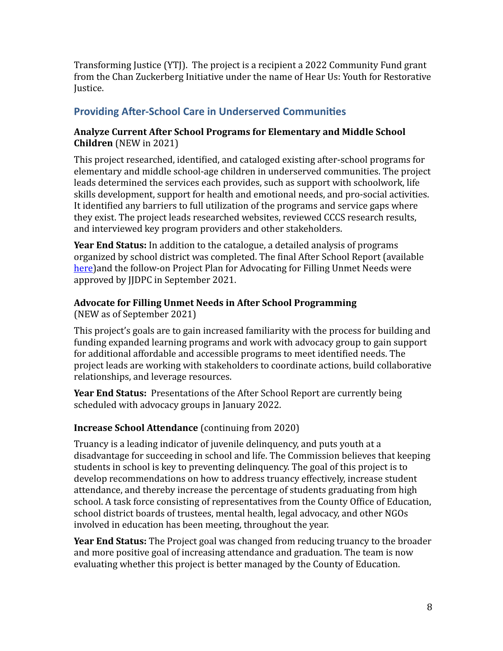Transforming Justice (YTJ). The project is a recipient a 2022 Community Fund grant from the Chan Zuckerberg Initiative under the name of Hear Us: Youth for Restorative Justice.

## **Providing After-School Care in Underserved Communities**

## **Analyze Current After School Programs for Elementary and Middle School Children** (NEW in 2021)

This project researched, identified, and cataloged existing after-school programs for elementary and middle school-age children in underserved communities. The project leads determined the services each provides, such as support with schoolwork, life skills development, support for health and emotional needs, and pro-social activities. It identified any barriers to full utilization of the programs and service gaps where they exist. The project leads researched websites, reviewed CCCS research results, and interviewed key program providers and other stakeholders.

**Year End Status:** In addition to the catalogue, a detailed analysis of programs organized by school district was completed. The final After School Report (available [here](https://probation.smcgov.org/sites/probation.smcgov.org/files/documents/files/JJDPC_Afterschool_Programs_FinalReport_1021.pdf)) and the follow-on Project Plan for Advocating for Filling Unmet Needs were approved by JJDPC in September 2021.

## **Advocate for Filling Unmet Needs in After School Programming**

(NEW as of September 2021)

This project's goals are to gain increased familiarity with the process for building and funding expanded learning programs and work with advocacy group to gain support for additional affordable and accessible programs to meet identified needs. The project leads are working with stakeholders to coordinate actions, build collaborative relationships, and leverage resources.

**Year End Status:** Presentations of the After School Report are currently being scheduled with advocacy groups in January 2022.

## **Increase School Attendance** (continuing from 2020)

Truancy is a leading indicator of juvenile delinquency, and puts youth at a disadvantage for succeeding in school and life. The Commission believes that keeping students in school is key to preventing delinguency. The goal of this project is to develop recommendations on how to address truancy effectively, increase student attendance, and thereby increase the percentage of students graduating from high school. A task force consisting of representatives from the County Office of Education, school district boards of trustees, mental health, legal advocacy, and other NGOs involved in education has been meeting, throughout the year.

**Year End Status:** The Project goal was changed from reducing truancy to the broader and more positive goal of increasing attendance and graduation. The team is now evaluating whether this project is better managed by the County of Education.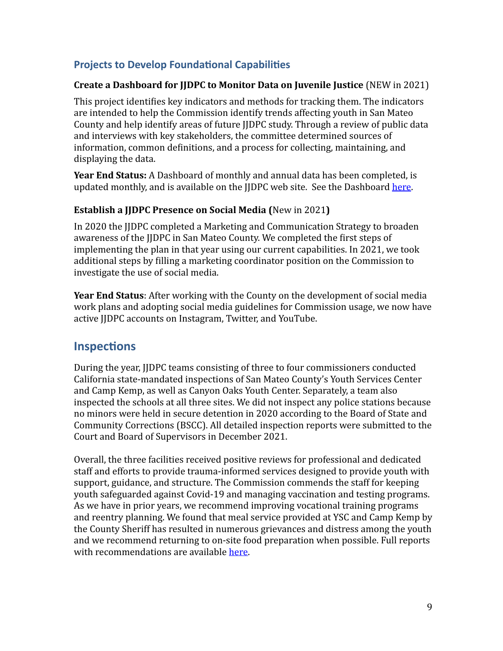## **Projects to Develop Foundational Capabilities**

## **Create a Dashboard for JJDPC to Monitor Data on Juvenile Justice (NEW in 2021)**

This project identifies key indicators and methods for tracking them. The indicators are intended to help the Commission identify trends affecting youth in San Mateo County and help identify areas of future IIDPC study. Through a review of public data and interviews with key stakeholders, the committee determined sources of information, common definitions, and a process for collecting, maintaining, and displaying the data.

**Year End Status:** A Dashboard of monthly and annual data has been completed, is updated monthly, and is available on the IIDPC web site. See the Dashboard here.

## **Establish a JJDPC Presence on Social Media (New in 2021)**

In 2020 the JJDPC completed a Marketing and Communication Strategy to broaden awareness of the IIDPC in San Mateo County. We completed the first steps of implementing the plan in that year using our current capabilities. In 2021, we took additional steps by filling a marketing coordinator position on the Commission to investigate the use of social media.

**Year End Status:** After working with the County on the development of social media work plans and adopting social media guidelines for Commission usage, we now have active IIDPC accounts on Instagram, Twitter, and YouTube.

# **Inspections**

During the year, IJDPC teams consisting of three to four commissioners conducted California state-mandated inspections of San Mateo County's Youth Services Center and Camp Kemp, as well as Canyon Oaks Youth Center. Separately, a team also inspected the schools at all three sites. We did not inspect any police stations because no minors were held in secure detention in 2020 according to the Board of State and Community Corrections (BSCC). All detailed inspection reports were submitted to the Court and Board of Supervisors in December 2021.

Overall, the three facilities received positive reviews for professional and dedicated staff and efforts to provide trauma-informed services designed to provide vouth with support, guidance, and structure. The Commission commends the staff for keeping youth safeguarded against Covid-19 and managing vaccination and testing programs. As we have in prior years, we recommend improving vocational training programs and reentry planning. We found that meal service provided at YSC and Camp Kemp by the County Sheriff has resulted in numerous grievances and distress among the youth and we recommend returning to on-site food preparation when possible. Full reports with recommendations are available [here.](https://probation.smcgov.org/jjdpc-inspection-reports)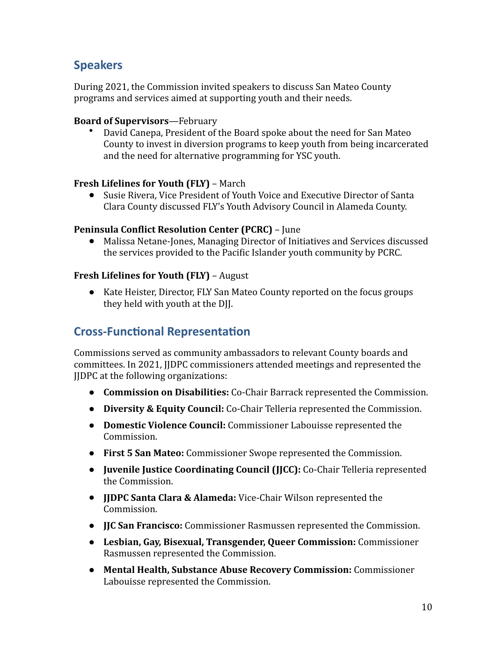# **Speakers**

During 2021, the Commission invited speakers to discuss San Mateo County programs and services aimed at supporting youth and their needs.

## **Board of Supervisors**—February

• David Canepa, President of the Board spoke about the need for San Mateo County to invest in diversion programs to keep youth from being incarcerated and the need for alternative programming for YSC youth.

#### **Fresh Lifelines for Youth (FLY)** – March

• Susie Rivera, Vice President of Youth Voice and Executive Director of Santa Clara County discussed FLY's Youth Advisory Council in Alameda County.

## **Peninsula Conflict Resolution Center (PCRC)** – June

• Malissa Netane-Jones, Managing Director of Initiatives and Services discussed the services provided to the Pacific Islander youth community by PCRC.

## **Fresh Lifelines for Youth (FLY)** - August

• Kate Heister, Director, FLY San Mateo County reported on the focus groups they held with youth at the DII.

# **Cross-Functional Representation**

Commissions served as community ambassadors to relevant County boards and committees. In 2021, JJDPC commissioners attended meetings and represented the JJDPC at the following organizations:

- **Commission on Disabilities:** Co-Chair Barrack represented the Commission.
- Diversity & Equity Council: Co-Chair Telleria represented the Commission.
- **Domestic Violence Council:** Commissioner Labouisse represented the Commission.
- First 5 San Mateo: Commissioner Swope represented the Commission.
- **Juvenile Justice Coordinating Council (JJCC):** Co-Chair Telleria represented the Commission.
- **JJDPC Santa Clara & Alameda:** Vice-Chair Wilson represented the Commission.
- **JIC San Francisco:** Commissioner Rasmussen represented the Commission.
- **Lesbian, Gay, Bisexual, Transgender, Queer Commission:** Commissioner Rasmussen represented the Commission.
- **Mental Health, Substance Abuse Recovery Commission:** Commissioner Labouisse represented the Commission.